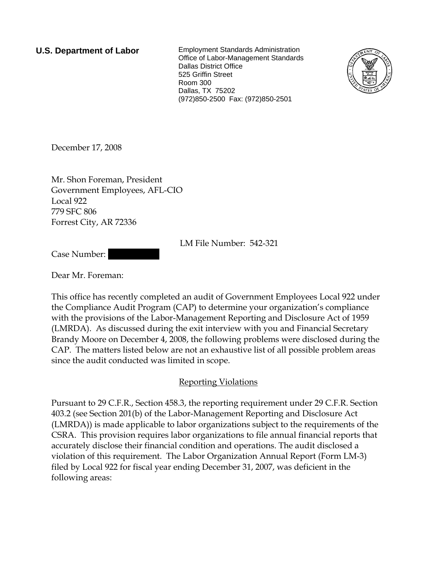**U.S. Department of Labor** Employment Standards Administration Office of Labor-Management Standards Dallas District Office 525 Griffin Street Room 300 Dallas, TX 75202 (972)850-2500 Fax: (972)850-2501



December 17, 2008

Mr. Shon Foreman, President Government Employees, AFL-CIO Local 922 779 SFC 806 Forrest City, AR 72336

LM File Number: 542-321

Case Number:

Dear Mr. Foreman:

This office has recently completed an audit of Government Employees Local 922 under the Compliance Audit Program (CAP) to determine your organization's compliance with the provisions of the Labor-Management Reporting and Disclosure Act of 1959 (LMRDA). As discussed during the exit interview with you and Financial Secretary Brandy Moore on December 4, 2008, the following problems were disclosed during the CAP. The matters listed below are not an exhaustive list of all possible problem areas since the audit conducted was limited in scope.

# Reporting Violations

Pursuant to 29 C.F.R., Section 458.3, the reporting requirement under 29 C.F.R. Section 403.2 (see Section 201(b) of the Labor-Management Reporting and Disclosure Act (LMRDA)) is made applicable to labor organizations subject to the requirements of the CSRA. This provision requires labor organizations to file annual financial reports that accurately disclose their financial condition and operations. The audit disclosed a violation of this requirement. The Labor Organization Annual Report (Form LM-3) filed by Local 922 for fiscal year ending December 31, 2007, was deficient in the following areas: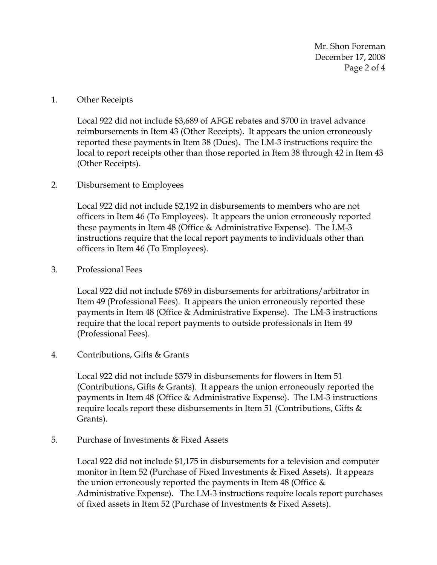Mr. Shon Foreman December 17, 2008 Page 2 of 4

### 1. Other Receipts

Local 922 did not include \$3,689 of AFGE rebates and \$700 in travel advance reimbursements in Item 43 (Other Receipts). It appears the union erroneously reported these payments in Item 38 (Dues). The LM-3 instructions require the local to report receipts other than those reported in Item 38 through 42 in Item 43 (Other Receipts).

## 2. Disbursement to Employees

Local 922 did not include \$2,192 in disbursements to members who are not officers in Item 46 (To Employees). It appears the union erroneously reported these payments in Item 48 (Office & Administrative Expense). The LM-3 instructions require that the local report payments to individuals other than officers in Item 46 (To Employees).

#### 3. Professional Fees

Local 922 did not include \$769 in disbursements for arbitrations/arbitrator in Item 49 (Professional Fees). It appears the union erroneously reported these payments in Item 48 (Office & Administrative Expense). The LM-3 instructions require that the local report payments to outside professionals in Item 49 (Professional Fees).

## 4. Contributions, Gifts & Grants

Local 922 did not include \$379 in disbursements for flowers in Item 51 (Contributions, Gifts & Grants). It appears the union erroneously reported the payments in Item 48 (Office & Administrative Expense). The LM-3 instructions require locals report these disbursements in Item 51 (Contributions, Gifts & Grants).

## 5. Purchase of Investments & Fixed Assets

Local 922 did not include \$1,175 in disbursements for a television and computer monitor in Item 52 (Purchase of Fixed Investments & Fixed Assets). It appears the union erroneously reported the payments in Item 48 (Office & Administrative Expense). The LM-3 instructions require locals report purchases of fixed assets in Item 52 (Purchase of Investments & Fixed Assets).